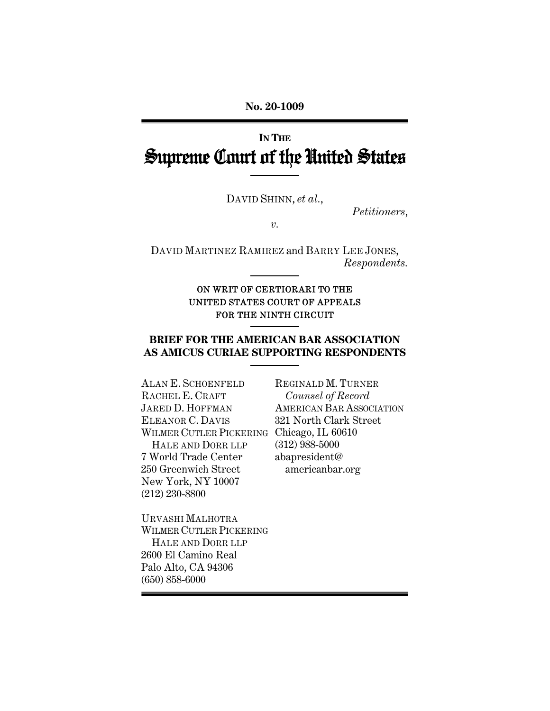**No. 20-1009** 

# **IN THE** Supreme Court of the United States

DAVID SHINN, *et al.*,

*Petitioners*,

*v.* 

DAVID MARTINEZ RAMIREZ and BARRY LEE JONES, *Respondents.* 

#### ON WRIT OF CERTIORARI TO THE UNITED STATES COURT OF APPEALS FOR THE NINTH CIRCUIT

## **BRIEF FOR THE AMERICAN BAR ASSOCIATION AS AMICUS CURIAE SUPPORTING RESPONDENTS**

ALAN E. SCHOENFELD RACHEL E. CRAFT JARED D. HOFFMAN ELEANOR C. DAVIS WILMER CUTLER PICKERING Chicago, IL 60610 HALE AND DORR LLP 7 World Trade Center 250 Greenwich Street New York, NY 10007 (212) 230-8800

REGINALD M. TURNER *Counsel of Record* AMERICAN BAR ASSOCIATION 321 North Clark Street (312) 988-5000 abapresident@ americanbar.org

URVASHI MALHOTRA WILMER CUTLER PICKERING HALE AND DORR LLP 2600 El Camino Real Palo Alto, CA 94306 (650) 858-6000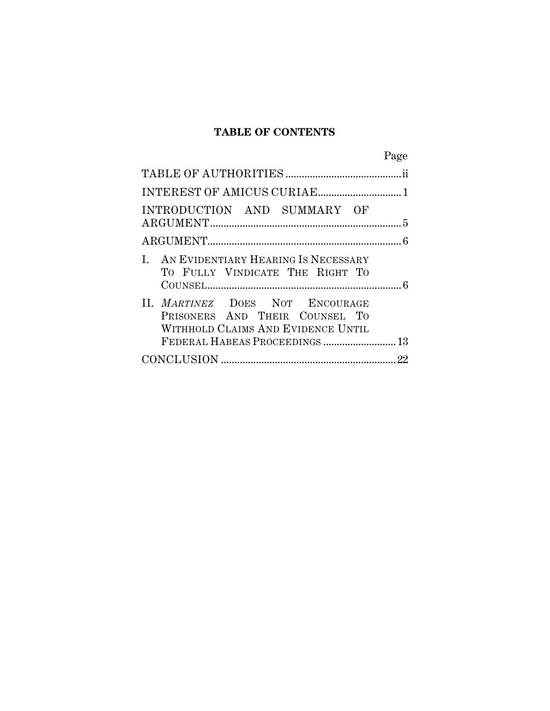## **TABLE OF CONTENTS**

|                                                                                                                                           | Page |
|-------------------------------------------------------------------------------------------------------------------------------------------|------|
|                                                                                                                                           |      |
|                                                                                                                                           |      |
| INTRODUCTION AND SUMMARY OF                                                                                                               |      |
|                                                                                                                                           |      |
| I. AN EVIDENTIARY HEARING IS NECESSARY<br>TO FULLY VINDICATE THE RIGHT TO                                                                 |      |
| II. MARTINEZ DOES NOT ENCOURAGE<br>PRISONERS AND THEIR COUNSEL TO<br>WITHHOLD CLAIMS AND EVIDENCE UNTIL<br>FEDERAL HABEAS PROCEEDINGS  13 |      |
|                                                                                                                                           |      |
|                                                                                                                                           |      |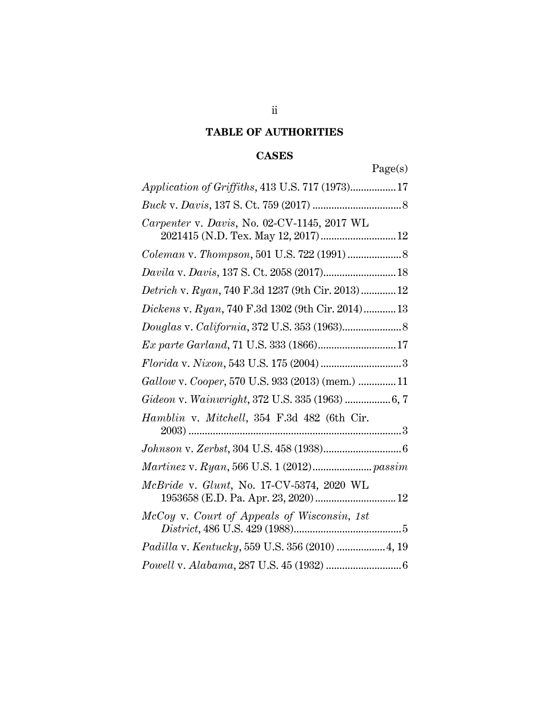# **TABLE OF AUTHORITIES**

# **CASES**

Page(s)

| Application of Griffiths, 413 U.S. 717 (1973)17                                                                                                                        |
|------------------------------------------------------------------------------------------------------------------------------------------------------------------------|
|                                                                                                                                                                        |
| Carpenter v. Davis, No. 02-CV-1145, 2017 WL<br>2021415 (N.D. Tex. May 12, 2017) 12                                                                                     |
|                                                                                                                                                                        |
| $\label{eq:2.1} David \; \mathbf{v}, \; Davis, 137 \; \mathrm{S}, \; \mathrm{Ct}, \; 2058 \; (2017) \; \ldots \; \ldots \; \ldots \; \ldots \; \ldots \; \ldots \; 18$ |
| Detrich v. Ryan, 740 F.3d 1237 (9th Cir. 2013) 12                                                                                                                      |
| Dickens v. Ryan, 740 F.3d 1302 (9th Cir. 2014) 13                                                                                                                      |
|                                                                                                                                                                        |
| Ex parte Garland, 71 U.S. 333 (1866) 17                                                                                                                                |
|                                                                                                                                                                        |
| Gallow v. Cooper, 570 U.S. 933 (2013) (mem.)  11                                                                                                                       |
| Gideon v. Wainwright, 372 U.S. 335 (1963)  6, 7                                                                                                                        |
| Hamblin v. Mitchell, 354 F.3d 482 (6th Cir.                                                                                                                            |
|                                                                                                                                                                        |
|                                                                                                                                                                        |
| McBride v. Glunt, No. 17-CV-5374, 2020 WL                                                                                                                              |
| McCoy v. Court of Appeals of Wisconsin, 1st                                                                                                                            |
| Padilla v. Kentucky, 559 U.S. 356 (2010)  4, 19                                                                                                                        |
| $\label{eq:1} Powell \,\, \mbox{\textsc{v}}.\,\,Alabama,\,\mbox{287 U.S.\,\,45}\,\,\mbox{(1932)}\,\,\,\,$                                                              |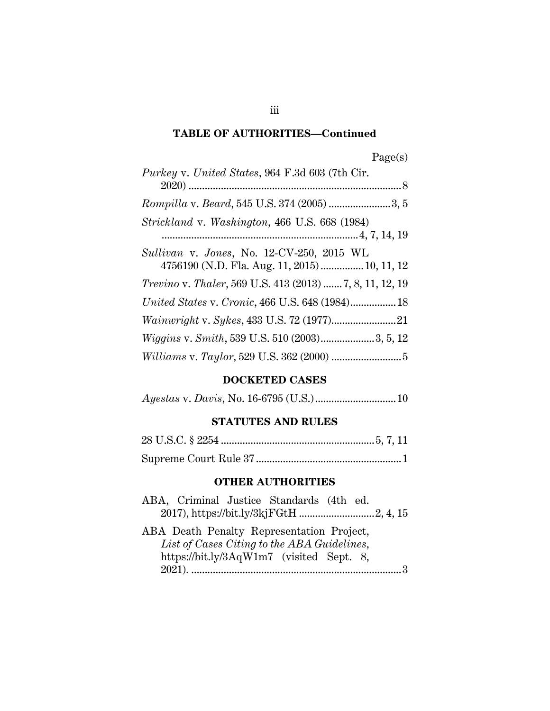# **TABLE OF AUTHORITIES—Continued**

| Purkey v. United States, 964 F.3d 603 (7th Cir.                  |
|------------------------------------------------------------------|
|                                                                  |
|                                                                  |
| Strickland v. Washington, 466 U.S. 668 (1984)                    |
|                                                                  |
| Sullivan v. Jones, No. 12-CV-250, 2015 WL                        |
| 4756190 (N.D. Fla. Aug. 11, 2015)  10, 11, 12                    |
| <i>Trevino v. Thaler</i> , 569 U.S. 413 (2013)  7, 8, 11, 12, 19 |
| United States v. Cronic, 466 U.S. 648 (1984) 18                  |
|                                                                  |
| Wiggins v. Smith, 539 U.S. 510 (2003)3, 5, 12                    |
|                                                                  |

#### **DOCKETED CASES**

|--|--|--|--|

# **STATUTES AND RULES**

# **OTHER AUTHORITIES**

| ABA, Criminal Justice Standards (4th ed.    |  |
|---------------------------------------------|--|
|                                             |  |
| ABA Death Penalty Representation Project,   |  |
| List of Cases Citing to the ABA Guidelines, |  |
| https://bit.ly/3AqW1m7 (visited Sept. 8,    |  |
|                                             |  |

iii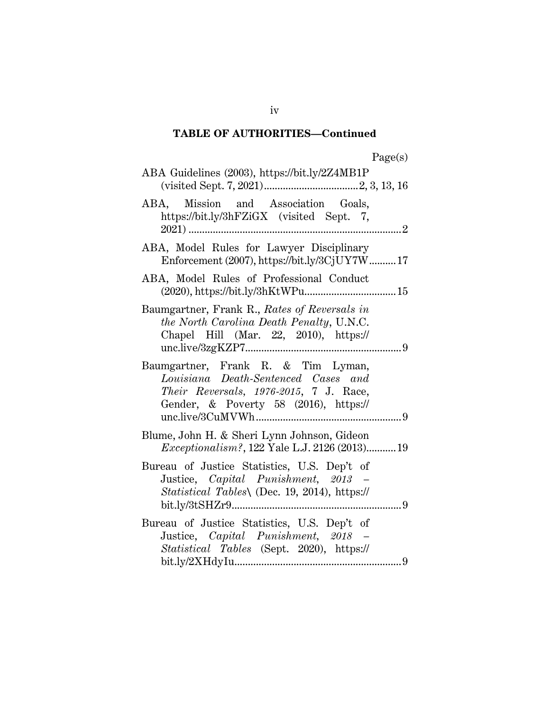## **TABLE OF AUTHORITIES—Continued**

| ager<br>s |
|-----------|
|-----------|

| ABA Guidelines (2003), https://bit.ly/2Z4MB1P                                                                                                                |
|--------------------------------------------------------------------------------------------------------------------------------------------------------------|
| ABA, Mission and Association Goals,<br>https://bit.ly/3hFZiGX (visited Sept. 7,                                                                              |
| ABA, Model Rules for Lawyer Disciplinary<br>Enforcement (2007), https://bit.ly/3CjUY7W17                                                                     |
| ABA, Model Rules of Professional Conduct                                                                                                                     |
| Baumgartner, Frank R., Rates of Reversals in<br>the North Carolina Death Penalty, U.N.C.<br>Chapel Hill (Mar. 22, 2010), $\frac{https://r}{https://r}/p$     |
| Baumgartner, Frank R. & Tim Lyman,<br>Louisiana Death-Sentenced Cases and<br>Their Reversals, 1976-2015, 7 J. Race,<br>Gender, & Poverty 58 (2016), https:// |
| Blume, John H. & Sheri Lynn Johnson, Gideon<br><i>Exceptionalism?</i> , 122 Yale L.J. 2126 (2013)19                                                          |
| Bureau of Justice Statistics, U.S. Dep't of<br>Justice, Capital Punishment, 2013 –<br><i>Statistical Tables</i> (Dec. 19, 2014), https://                    |
| Bureau of Justice Statistics, U.S. Dep't of<br>Justice, Capital Punishment, 2018 -<br>Statistical Tables (Sept. 2020), https://                              |

iv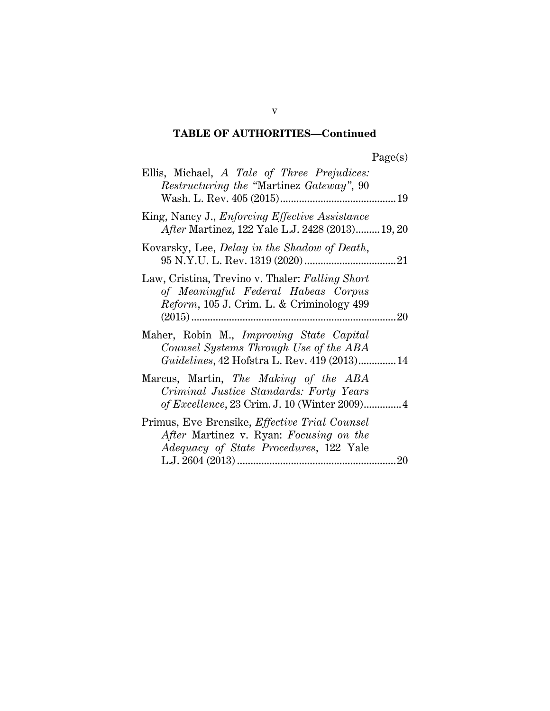# **TABLE OF AUTHORITIES—Continued**

| Ellis, Michael, A Tale of Three Prejudices:<br><i>Restructuring the "Martinez Gateway", 90</i>                                                         |
|--------------------------------------------------------------------------------------------------------------------------------------------------------|
| King, Nancy J., Enforcing Effective Assistance<br>After Martinez, 122 Yale L.J. 2428 (2013) 19, 20                                                     |
| Kovarsky, Lee, <i>Delay in the Shadow of Death</i> ,                                                                                                   |
| Law, Cristina, Trevino v. Thaler: Falling Short<br>of Meaningful Federal Habeas Corpus<br><i>Reform</i> , 105 J. Crim. L. & Criminology 499            |
| Maher, Robin M., Improving State Capital<br>Counsel Systems Through Use of the ABA<br><i>Guidelines</i> , 42 Hofstra L. Rev. 419 (2013) 14             |
| Marcus, Martin, The Making of the ABA<br>Criminal Justice Standards: Forty Years<br>of Excellence, 23 Crim. J. 10 (Winter 2009)4                       |
| Primus, Eve Brensike, <i>Effective Trial Counsel</i><br>After Martinez v. Ryan: Focusing on the<br><i>Adequacy of State Procedures, 122 Yale</i><br>20 |

v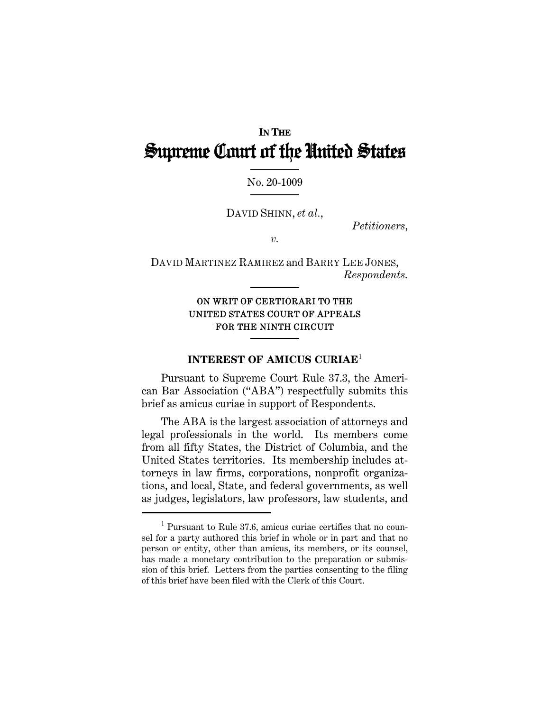# **IN THE** Supreme Court of the United States

#### No. 20-1009

DAVID SHINN, *et al.*,

*Petitioners*,

*v.* 

DAVID MARTINEZ RAMIREZ and BARRY LEE JONES, *Respondents.* 

## ON WRIT OF CERTIORARI TO THE UNITED STATES COURT OF APPEALS FOR THE NINTH CIRCUIT

#### **INTEREST OF AMICUS CURIAE**<sup>1</sup>

Pursuant to Supreme Court Rule 37.3, the American Bar Association ("ABA") respectfully submits this brief as amicus curiae in support of Respondents.

The ABA is the largest association of attorneys and legal professionals in the world. Its members come from all fifty States, the District of Columbia, and the United States territories. Its membership includes attorneys in law firms, corporations, nonprofit organizations, and local, State, and federal governments, as well as judges, legislators, law professors, law students, and

<sup>1</sup> Pursuant to Rule 37.6, amicus curiae certifies that no counsel for a party authored this brief in whole or in part and that no person or entity, other than amicus, its members, or its counsel, has made a monetary contribution to the preparation or submission of this brief. Letters from the parties consenting to the filing of this brief have been filed with the Clerk of this Court.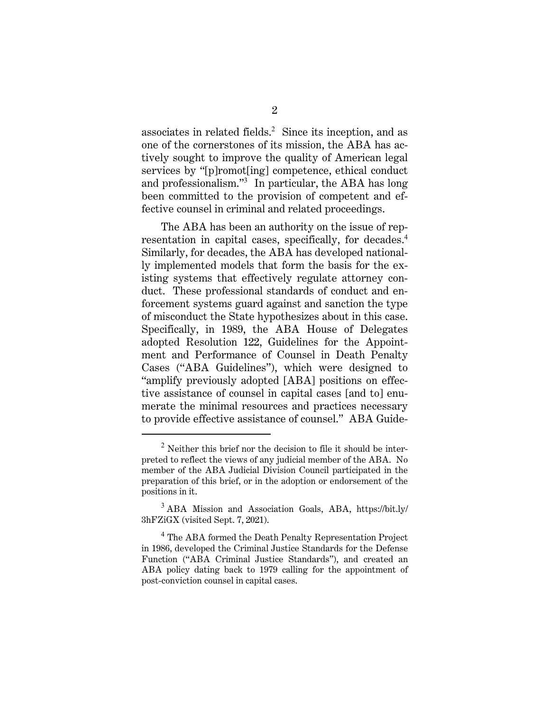associates in related fields. $2$  Since its inception, and as one of the cornerstones of its mission, the ABA has actively sought to improve the quality of American legal services by "[p]romot[ing] competence, ethical conduct and professionalism."<sup>3</sup> In particular, the ABA has long been committed to the provision of competent and effective counsel in criminal and related proceedings.

The ABA has been an authority on the issue of representation in capital cases, specifically, for decades.<sup>4</sup> Similarly, for decades, the ABA has developed nationally implemented models that form the basis for the existing systems that effectively regulate attorney conduct. These professional standards of conduct and enforcement systems guard against and sanction the type of misconduct the State hypothesizes about in this case. Specifically, in 1989, the ABA House of Delegates adopted Resolution 122, Guidelines for the Appointment and Performance of Counsel in Death Penalty Cases ("ABA Guidelines"), which were designed to "amplify previously adopted [ABA] positions on effective assistance of counsel in capital cases [and to] enumerate the minimal resources and practices necessary to provide effective assistance of counsel." ABA Guide-

 $2$  Neither this brief nor the decision to file it should be interpreted to reflect the views of any judicial member of the ABA. No member of the ABA Judicial Division Council participated in the preparation of this brief, or in the adoption or endorsement of the positions in it.

<sup>&</sup>lt;sup>3</sup> ABA Mission and Association Goals, ABA, https://bit.ly/ 3hFZiGX (visited Sept. 7, 2021).

<sup>&</sup>lt;sup>4</sup> The ABA formed the Death Penalty Representation Project in 1986, developed the Criminal Justice Standards for the Defense Function ("ABA Criminal Justice Standards"), and created an ABA policy dating back to 1979 calling for the appointment of post-conviction counsel in capital cases.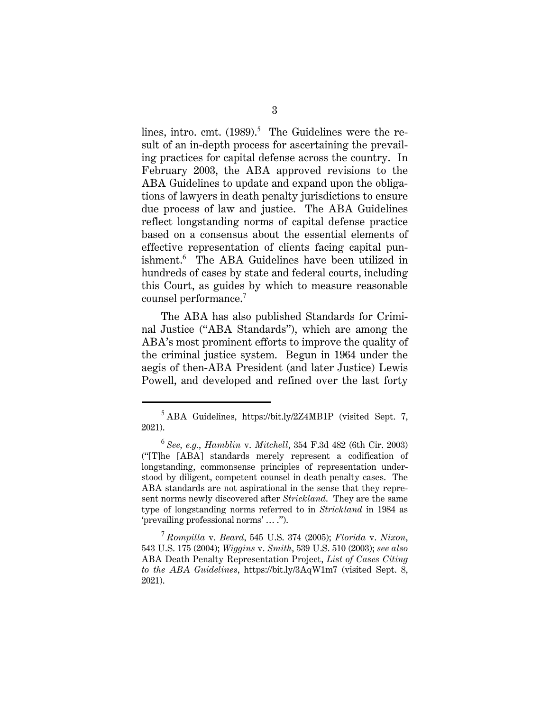lines, intro. cmt.  $(1989).<sup>5</sup>$  The Guidelines were the result of an in-depth process for ascertaining the prevailing practices for capital defense across the country. In February 2003, the ABA approved revisions to the ABA Guidelines to update and expand upon the obligations of lawyers in death penalty jurisdictions to ensure due process of law and justice. The ABA Guidelines reflect longstanding norms of capital defense practice based on a consensus about the essential elements of effective representation of clients facing capital punishment.<sup>6</sup> The ABA Guidelines have been utilized in hundreds of cases by state and federal courts, including this Court, as guides by which to measure reasonable counsel performance.<sup>7</sup>

The ABA has also published Standards for Criminal Justice ("ABA Standards"), which are among the ABA's most prominent efforts to improve the quality of the criminal justice system. Begun in 1964 under the aegis of then-ABA President (and later Justice) Lewis Powell, and developed and refined over the last forty

<sup>5</sup> ABA Guidelines, https://bit.ly/2Z4MB1P (visited Sept. 7, 2021).

<sup>6</sup> *See, e.g.*, *Hamblin* v. *Mitchell*, 354 F.3d 482 (6th Cir. 2003) ("[T]he [ABA] standards merely represent a codification of longstanding, commonsense principles of representation understood by diligent, competent counsel in death penalty cases. The ABA standards are not aspirational in the sense that they represent norms newly discovered after *Strickland*. They are the same type of longstanding norms referred to in *Strickland* in 1984 as 'prevailing professional norms' … .").

<sup>7</sup> *Rompilla* v. *Beard*, 545 U.S. 374 (2005); *Florida* v. *Nixon*, 543 U.S. 175 (2004); *Wiggins* v. *Smith*, 539 U.S. 510 (2003); *see also* ABA Death Penalty Representation Project, *List of Cases Citing to the ABA Guidelines*, https://bit.ly/3AqW1m7 (visited Sept. 8, 2021).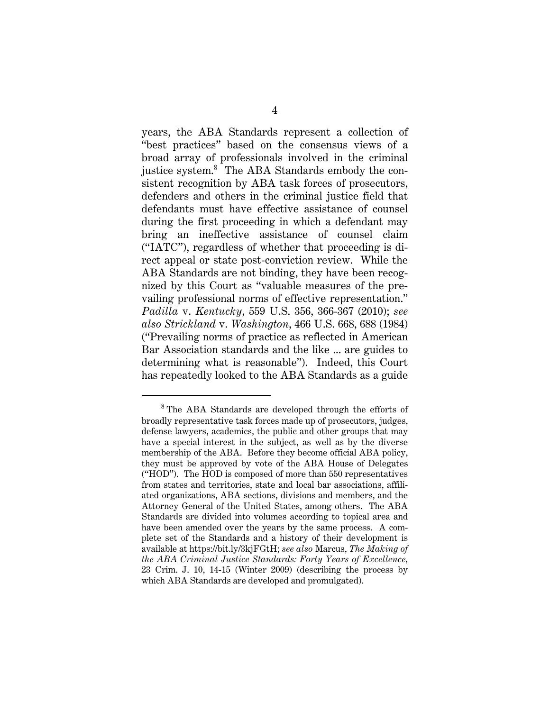years, the ABA Standards represent a collection of "best practices" based on the consensus views of a broad array of professionals involved in the criminal justice system.<sup>8</sup> The ABA Standards embody the consistent recognition by ABA task forces of prosecutors, defenders and others in the criminal justice field that defendants must have effective assistance of counsel during the first proceeding in which a defendant may bring an ineffective assistance of counsel claim ("IATC"), regardless of whether that proceeding is direct appeal or state post-conviction review. While the ABA Standards are not binding, they have been recognized by this Court as "valuable measures of the prevailing professional norms of effective representation." *Padilla* v. *Kentucky*, 559 U.S. 356, 366-367 (2010); *see also Strickland* v. *Washington*, 466 U.S. 668, 688 (1984) ("Prevailing norms of practice as reflected in American Bar Association standards and the like ... are guides to determining what is reasonable"). Indeed, this Court has repeatedly looked to the ABA Standards as a guide

<sup>8</sup> The ABA Standards are developed through the efforts of broadly representative task forces made up of prosecutors, judges, defense lawyers, academics, the public and other groups that may have a special interest in the subject, as well as by the diverse membership of the ABA. Before they become official ABA policy, they must be approved by vote of the ABA House of Delegates ("HOD"). The HOD is composed of more than 550 representatives from states and territories, state and local bar associations, affiliated organizations, ABA sections, divisions and members, and the Attorney General of the United States, among others. The ABA Standards are divided into volumes according to topical area and have been amended over the years by the same process. A complete set of the Standards and a history of their development is available at https://bit.ly/3kjFGtH; *see also* Marcus, *The Making of the ABA Criminal Justice Standards: Forty Years of Excellence,*  23 Crim. J. 10, 14-15 (Winter 2009) (describing the process by which ABA Standards are developed and promulgated).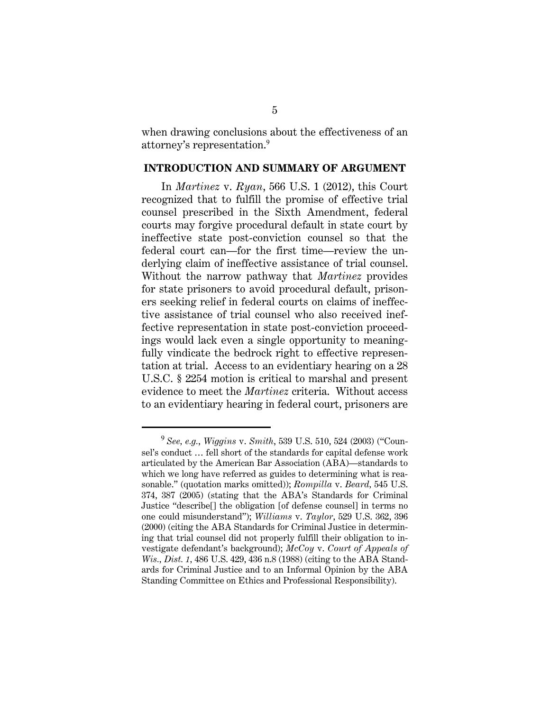when drawing conclusions about the effectiveness of an attorney's representation.<sup>9</sup>

#### **INTRODUCTION AND SUMMARY OF ARGUMENT**

In *Martinez* v. *Ryan*, 566 U.S. 1 (2012), this Court recognized that to fulfill the promise of effective trial counsel prescribed in the Sixth Amendment, federal courts may forgive procedural default in state court by ineffective state post-conviction counsel so that the federal court can—for the first time—review the underlying claim of ineffective assistance of trial counsel. Without the narrow pathway that *Martinez* provides for state prisoners to avoid procedural default, prisoners seeking relief in federal courts on claims of ineffective assistance of trial counsel who also received ineffective representation in state post-conviction proceedings would lack even a single opportunity to meaningfully vindicate the bedrock right to effective representation at trial. Access to an evidentiary hearing on a 28 U.S.C. § 2254 motion is critical to marshal and present evidence to meet the *Martinez* criteria. Without access to an evidentiary hearing in federal court, prisoners are

<sup>9</sup> *See, e.g.*, *Wiggins* v. *Smith*, 539 U.S. 510, 524 (2003) ("Counsel's conduct … fell short of the standards for capital defense work articulated by the American Bar Association (ABA)—standards to which we long have referred as guides to determining what is reasonable." (quotation marks omitted)); *Rompilla* v. *Beard,* 545 U.S. 374, 387 (2005) (stating that the ABA's Standards for Criminal Justice "describe[] the obligation [of defense counsel] in terms no one could misunderstand"); *Williams* v. *Taylor*, 529 U.S. 362, 396 (2000) (citing the ABA Standards for Criminal Justice in determining that trial counsel did not properly fulfill their obligation to investigate defendant's background); *McCoy* v. *Court of Appeals of Wis., Dist. 1,* 486 U.S. 429, 436 n.8 (1988) (citing to the ABA Standards for Criminal Justice and to an Informal Opinion by the ABA Standing Committee on Ethics and Professional Responsibility).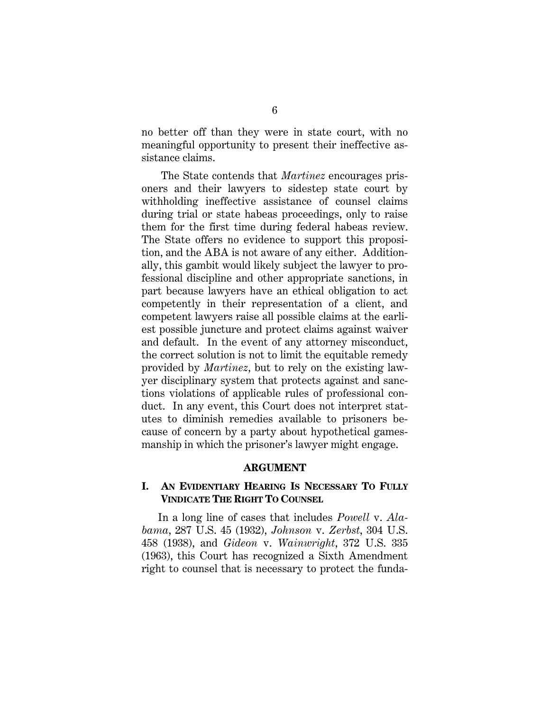no better off than they were in state court, with no meaningful opportunity to present their ineffective assistance claims.

The State contends that *Martinez* encourages prisoners and their lawyers to sidestep state court by withholding ineffective assistance of counsel claims during trial or state habeas proceedings, only to raise them for the first time during federal habeas review. The State offers no evidence to support this proposition, and the ABA is not aware of any either. Additionally, this gambit would likely subject the lawyer to professional discipline and other appropriate sanctions, in part because lawyers have an ethical obligation to act competently in their representation of a client, and competent lawyers raise all possible claims at the earliest possible juncture and protect claims against waiver and default. In the event of any attorney misconduct, the correct solution is not to limit the equitable remedy provided by *Martinez*, but to rely on the existing lawyer disciplinary system that protects against and sanctions violations of applicable rules of professional conduct. In any event, this Court does not interpret statutes to diminish remedies available to prisoners because of concern by a party about hypothetical gamesmanship in which the prisoner's lawyer might engage.

#### **ARGUMENT**

### **I. AN EVIDENTIARY HEARING IS NECESSARY TO FULLY VINDICATE THE RIGHT TO COUNSEL**

In a long line of cases that includes *Powell* v. *Alabama*, 287 U.S. 45 (1932), *Johnson* v. *Zerbst*, 304 U.S. 458 (1938), and *Gideon* v. *Wainwright*, 372 U.S. 335 (1963), this Court has recognized a Sixth Amendment right to counsel that is necessary to protect the funda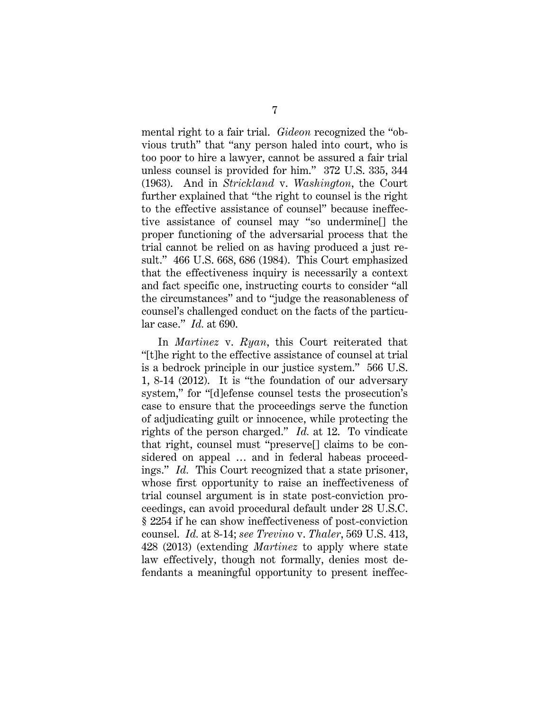mental right to a fair trial. *Gideon* recognized the "obvious truth" that "any person haled into court, who is too poor to hire a lawyer, cannot be assured a fair trial unless counsel is provided for him." 372 U.S. 335, 344 (1963). And in *Strickland* v. *Washington*, the Court further explained that "the right to counsel is the right to the effective assistance of counsel" because ineffective assistance of counsel may "so undermine[] the proper functioning of the adversarial process that the trial cannot be relied on as having produced a just result." 466 U.S. 668, 686 (1984). This Court emphasized that the effectiveness inquiry is necessarily a context and fact specific one, instructing courts to consider "all the circumstances" and to "judge the reasonableness of counsel's challenged conduct on the facts of the particular case." *Id.* at 690.

In *Martinez* v. *Ryan*, this Court reiterated that "[t]he right to the effective assistance of counsel at trial is a bedrock principle in our justice system." 566 U.S. 1, 8-14 (2012). It is "the foundation of our adversary system," for "[d]efense counsel tests the prosecution's case to ensure that the proceedings serve the function of adjudicating guilt or innocence, while protecting the rights of the person charged." *Id.* at 12. To vindicate that right, counsel must "preserve[] claims to be considered on appeal … and in federal habeas proceedings." *Id.* This Court recognized that a state prisoner, whose first opportunity to raise an ineffectiveness of trial counsel argument is in state post-conviction proceedings, can avoid procedural default under 28 U.S.C. § 2254 if he can show ineffectiveness of post-conviction counsel. *Id.* at 8-14; *see Trevino* v. *Thaler*, 569 U.S. 413, 428 (2013) (extending *Martinez* to apply where state law effectively, though not formally, denies most defendants a meaningful opportunity to present ineffec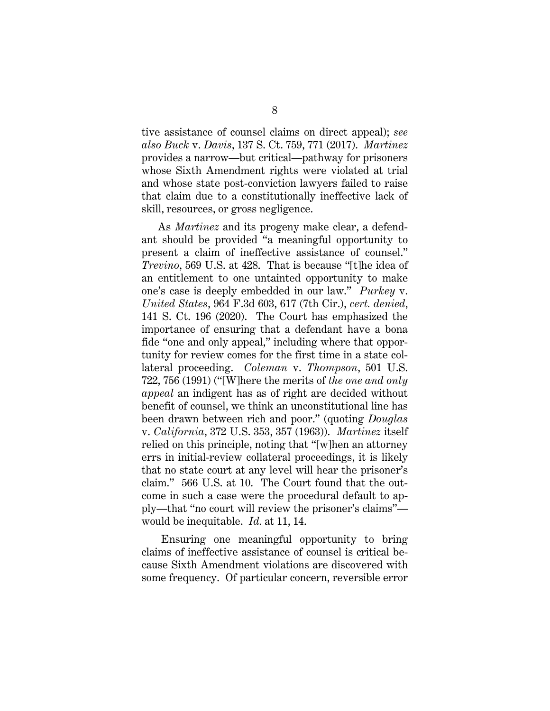tive assistance of counsel claims on direct appeal); *see also Buck* v. *Davis*, 137 S. Ct. 759, 771 (2017). *Martinez* provides a narrow—but critical—pathway for prisoners whose Sixth Amendment rights were violated at trial and whose state post-conviction lawyers failed to raise that claim due to a constitutionally ineffective lack of skill, resources, or gross negligence.

As *Martinez* and its progeny make clear, a defendant should be provided "a meaningful opportunity to present a claim of ineffective assistance of counsel." *Trevino*, 569 U.S. at 428. That is because "[t]he idea of an entitlement to one untainted opportunity to make one's case is deeply embedded in our law." *Purkey* v. *United States*, 964 F.3d 603, 617 (7th Cir.), *cert. denied*, 141 S. Ct. 196 (2020). The Court has emphasized the importance of ensuring that a defendant have a bona fide "one and only appeal," including where that opportunity for review comes for the first time in a state collateral proceeding. *Coleman* v. *Thompson*, 501 U.S. 722, 756 (1991) ("[W]here the merits of *the one and only appeal* an indigent has as of right are decided without benefit of counsel, we think an unconstitutional line has been drawn between rich and poor." (quoting *Douglas*  v. *California*, 372 U.S. 353, 357 (1963)). *Martinez* itself relied on this principle, noting that "[w]hen an attorney errs in initial-review collateral proceedings, it is likely that no state court at any level will hear the prisoner's claim." 566 U.S. at 10. The Court found that the outcome in such a case were the procedural default to apply—that "no court will review the prisoner's claims" would be inequitable. *Id.* at 11, 14.

Ensuring one meaningful opportunity to bring claims of ineffective assistance of counsel is critical because Sixth Amendment violations are discovered with some frequency. Of particular concern, reversible error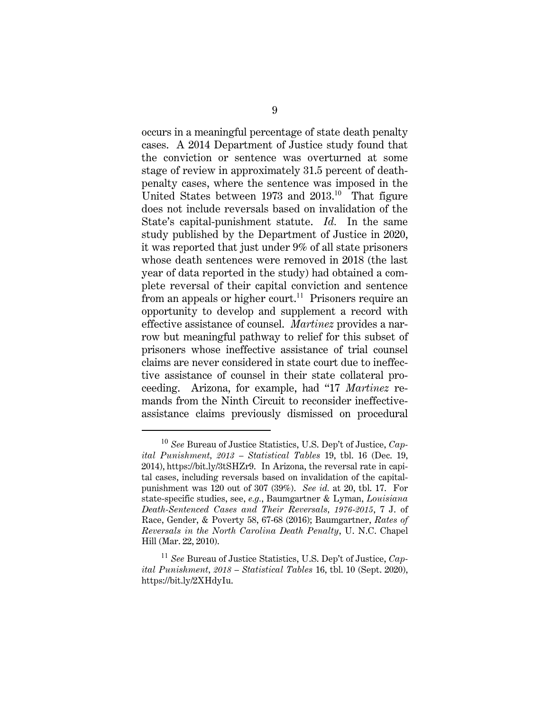occurs in a meaningful percentage of state death penalty cases. A 2014 Department of Justice study found that the conviction or sentence was overturned at some stage of review in approximately 31.5 percent of deathpenalty cases, where the sentence was imposed in the United States between  $1973$  and  $2013<sup>10</sup>$  That figure does not include reversals based on invalidation of the State's capital-punishment statute. *Id.* In the same study published by the Department of Justice in 2020, it was reported that just under 9% of all state prisoners whose death sentences were removed in 2018 (the last year of data reported in the study) had obtained a complete reversal of their capital conviction and sentence from an appeals or higher court.<sup>11</sup> Prisoners require an opportunity to develop and supplement a record with effective assistance of counsel. *Martinez* provides a narrow but meaningful pathway to relief for this subset of prisoners whose ineffective assistance of trial counsel claims are never considered in state court due to ineffective assistance of counsel in their state collateral proceeding. Arizona, for example, had "17 *Martinez* remands from the Ninth Circuit to reconsider ineffectiveassistance claims previously dismissed on procedural

<sup>10</sup> *See* Bureau of Justice Statistics, U.S. Dep't of Justice, *Capital Punishment, 2013 – Statistical Tables* 19, tbl. 16 (Dec. 19, 2014), https://bit.ly/3tSHZr9. In Arizona, the reversal rate in capital cases, including reversals based on invalidation of the capitalpunishment was 120 out of 307 (39%). *See id.* at 20, tbl. 17. For state-specific studies, see, *e.g.*, Baumgartner & Lyman, *Louisiana Death-Sentenced Cases and Their Reversals, 1976-2015*, 7 J. of Race, Gender, & Poverty 58, 67-68 (2016); Baumgartner, *Rates of Reversals in the North Carolina Death Penalty*, U. N.C. Chapel Hill (Mar. 22, 2010).

<sup>11</sup> *See* Bureau of Justice Statistics, U.S. Dep't of Justice, *Capital Punishment, 2018 – Statistical Tables* 16, tbl. 10 (Sept. 2020), https://bit.ly/2XHdyIu.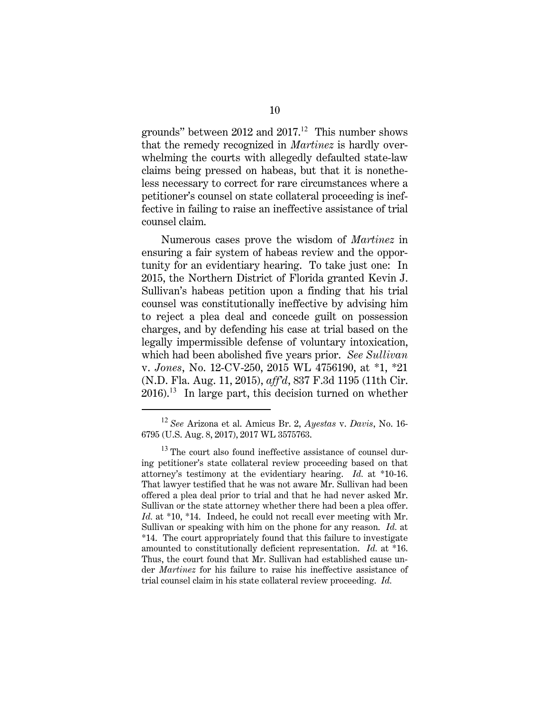grounds" between 2012 and 2017.<sup>12</sup> This number shows that the remedy recognized in *Martinez* is hardly overwhelming the courts with allegedly defaulted state-law claims being pressed on habeas, but that it is nonetheless necessary to correct for rare circumstances where a petitioner's counsel on state collateral proceeding is ineffective in failing to raise an ineffective assistance of trial counsel claim.

Numerous cases prove the wisdom of *Martinez* in ensuring a fair system of habeas review and the opportunity for an evidentiary hearing. To take just one: In 2015, the Northern District of Florida granted Kevin J. Sullivan's habeas petition upon a finding that his trial counsel was constitutionally ineffective by advising him to reject a plea deal and concede guilt on possession charges, and by defending his case at trial based on the legally impermissible defense of voluntary intoxication, which had been abolished five years prior. *See Sullivan*  v. *Jones*, No. 12-CV-250, 2015 WL 4756190, at \*1, \*21 (N.D. Fla. Aug. 11, 2015), *aff'd*, 837 F.3d 1195 (11th Cir.  $2016$ .<sup>13</sup> In large part, this decision turned on whether

<sup>12</sup> *See* Arizona et al. Amicus Br. 2, *Ayestas* v. *Davis*, No. 16- 6795 (U.S. Aug. 8, 2017), 2017 WL 3575763.

 $13$  The court also found ineffective assistance of counsel during petitioner's state collateral review proceeding based on that attorney's testimony at the evidentiary hearing. *Id.* at \*10-16. That lawyer testified that he was not aware Mr. Sullivan had been offered a plea deal prior to trial and that he had never asked Mr. Sullivan or the state attorney whether there had been a plea offer. *Id.* at \*10, \*14. Indeed, he could not recall ever meeting with Mr. Sullivan or speaking with him on the phone for any reason. *Id.* at \*14. The court appropriately found that this failure to investigate amounted to constitutionally deficient representation. *Id.* at \*16. Thus, the court found that Mr. Sullivan had established cause under *Martinez* for his failure to raise his ineffective assistance of trial counsel claim in his state collateral review proceeding. *Id.*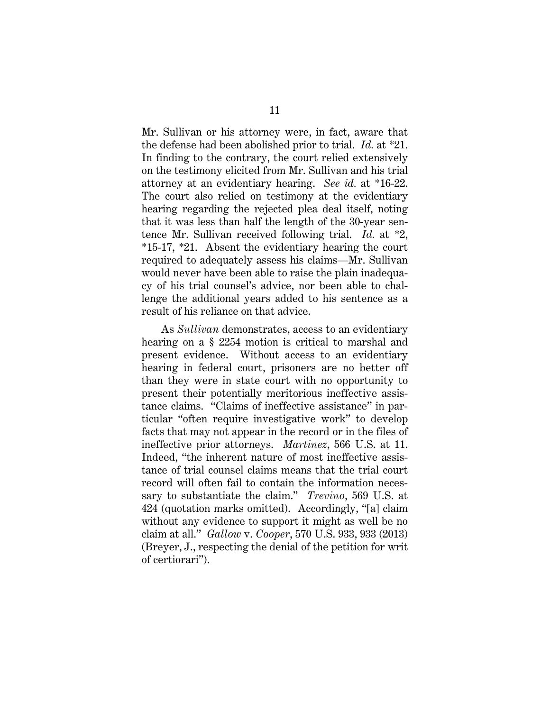Mr. Sullivan or his attorney were, in fact, aware that the defense had been abolished prior to trial. *Id.* at \*21. In finding to the contrary, the court relied extensively on the testimony elicited from Mr. Sullivan and his trial attorney at an evidentiary hearing. *See id.* at \*16-22. The court also relied on testimony at the evidentiary hearing regarding the rejected plea deal itself, noting that it was less than half the length of the 30-year sentence Mr. Sullivan received following trial. *Id.* at \*2, \*15-17, \*21. Absent the evidentiary hearing the court required to adequately assess his claims—Mr. Sullivan would never have been able to raise the plain inadequacy of his trial counsel's advice, nor been able to challenge the additional years added to his sentence as a result of his reliance on that advice.

As *Sullivan* demonstrates, access to an evidentiary hearing on a § 2254 motion is critical to marshal and present evidence. Without access to an evidentiary hearing in federal court, prisoners are no better off than they were in state court with no opportunity to present their potentially meritorious ineffective assistance claims. "Claims of ineffective assistance" in particular "often require investigative work" to develop facts that may not appear in the record or in the files of ineffective prior attorneys. *Martinez*, 566 U.S. at 11. Indeed, "the inherent nature of most ineffective assistance of trial counsel claims means that the trial court record will often fail to contain the information necessary to substantiate the claim." *Trevino*, 569 U.S. at 424 (quotation marks omitted). Accordingly, "[a] claim without any evidence to support it might as well be no claim at all." *Gallow* v. *Cooper*, 570 U.S. 933, 933 (2013) (Breyer, J., respecting the denial of the petition for writ of certiorari").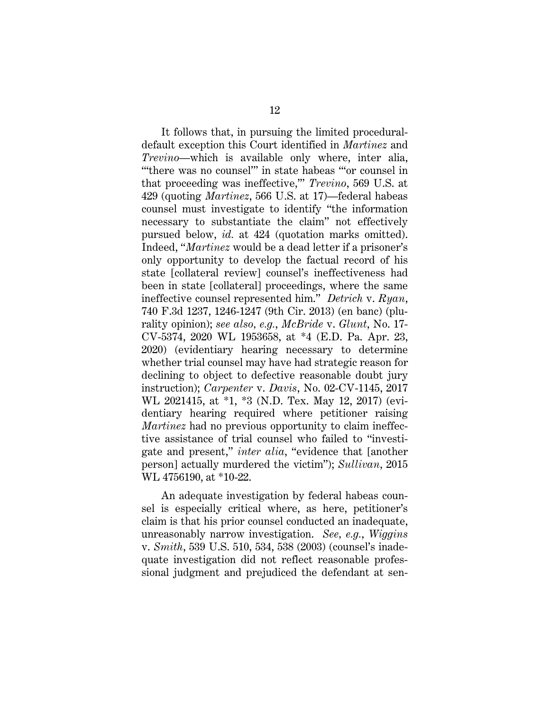It follows that, in pursuing the limited proceduraldefault exception this Court identified in *Martinez* and *Trevino*—which is available only where, inter alia, "'there was no counsel'" in state habeas "'or counsel in that proceeding was ineffective,'" *Trevino*, 569 U.S. at 429 (quoting *Martinez*, 566 U.S. at 17)—federal habeas counsel must investigate to identify "the information necessary to substantiate the claim" not effectively pursued below, *id.* at 424 (quotation marks omitted). Indeed, "*Martinez* would be a dead letter if a prisoner's only opportunity to develop the factual record of his state [collateral review] counsel's ineffectiveness had been in state [collateral] proceedings, where the same ineffective counsel represented him." *Detrich* v. *Ryan*, 740 F.3d 1237, 1246-1247 (9th Cir. 2013) (en banc) (plurality opinion); *see also, e.g.*, *McBride* v. *Glunt*, No. 17- CV-5374, 2020 WL 1953658, at \*4 (E.D. Pa. Apr. 23, 2020) (evidentiary hearing necessary to determine whether trial counsel may have had strategic reason for declining to object to defective reasonable doubt jury instruction); *Carpenter* v. *Davis*, No. 02-CV-1145, 2017 WL 2021415, at \*1, \*3 (N.D. Tex. May 12, 2017) (evidentiary hearing required where petitioner raising *Martinez* had no previous opportunity to claim ineffective assistance of trial counsel who failed to "investigate and present," *inter alia*, "evidence that [another person] actually murdered the victim"); *Sullivan*, 2015 WL 4756190, at \*10-22.

An adequate investigation by federal habeas counsel is especially critical where, as here, petitioner's claim is that his prior counsel conducted an inadequate, unreasonably narrow investigation. *See, e.g.*, *Wiggins*  v. *Smith*, 539 U.S. 510, 534, 538 (2003) (counsel's inadequate investigation did not reflect reasonable professional judgment and prejudiced the defendant at sen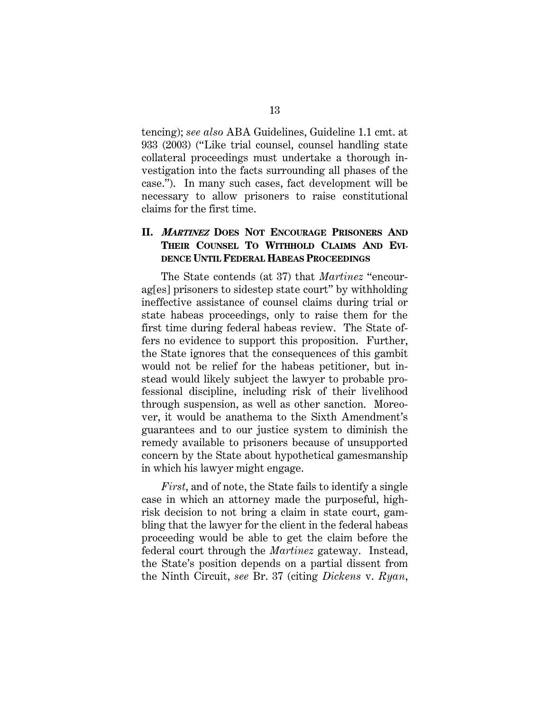tencing); *see also* ABA Guidelines, Guideline 1.1 cmt. at 933 (2003) ("Like trial counsel, counsel handling state collateral proceedings must undertake a thorough investigation into the facts surrounding all phases of the case."). In many such cases, fact development will be necessary to allow prisoners to raise constitutional claims for the first time.

## **II. <sup>M</sup>ARTINEZ DOES NOT ENCOURAGE PRISONERS AND THEIR COUNSEL TO WITHHOLD CLAIMS AND EVI-DENCE UNTIL FEDERAL HABEAS PROCEEDINGS**

The State contends (at 37) that *Martinez* "encourag[es] prisoners to sidestep state court" by withholding ineffective assistance of counsel claims during trial or state habeas proceedings, only to raise them for the first time during federal habeas review. The State offers no evidence to support this proposition. Further, the State ignores that the consequences of this gambit would not be relief for the habeas petitioner, but instead would likely subject the lawyer to probable professional discipline, including risk of their livelihood through suspension, as well as other sanction. Moreover, it would be anathema to the Sixth Amendment's guarantees and to our justice system to diminish the remedy available to prisoners because of unsupported concern by the State about hypothetical gamesmanship in which his lawyer might engage.

*First*, and of note, the State fails to identify a single case in which an attorney made the purposeful, highrisk decision to not bring a claim in state court, gambling that the lawyer for the client in the federal habeas proceeding would be able to get the claim before the federal court through the *Martinez* gateway. Instead, the State's position depends on a partial dissent from the Ninth Circuit, *see* Br. 37 (citing *Dickens* v. *Ryan*,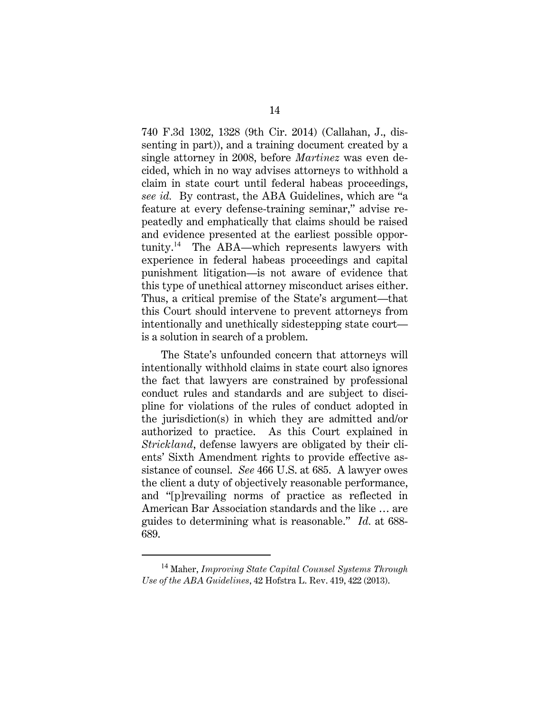740 F.3d 1302, 1328 (9th Cir. 2014) (Callahan, J., dissenting in part)), and a training document created by a single attorney in 2008, before *Martinez* was even decided, which in no way advises attorneys to withhold a claim in state court until federal habeas proceedings, *see id.* By contrast, the ABA Guidelines, which are "a feature at every defense-training seminar," advise repeatedly and emphatically that claims should be raised and evidence presented at the earliest possible opportunity.<sup>14</sup> The ABA—which represents lawyers with experience in federal habeas proceedings and capital punishment litigation—is not aware of evidence that this type of unethical attorney misconduct arises either. Thus, a critical premise of the State's argument—that this Court should intervene to prevent attorneys from intentionally and unethically sidestepping state court is a solution in search of a problem.

The State's unfounded concern that attorneys will intentionally withhold claims in state court also ignores the fact that lawyers are constrained by professional conduct rules and standards and are subject to discipline for violations of the rules of conduct adopted in the jurisdiction(s) in which they are admitted and/or authorized to practice. As this Court explained in *Strickland*, defense lawyers are obligated by their clients' Sixth Amendment rights to provide effective assistance of counsel. *See* 466 U.S. at 685. A lawyer owes the client a duty of objectively reasonable performance, and "[p]revailing norms of practice as reflected in American Bar Association standards and the like … are guides to determining what is reasonable." *Id.* at 688- 689.

<sup>14</sup> Maher, *Improving State Capital Counsel Systems Through Use of the ABA Guidelines*, 42 Hofstra L. Rev. 419, 422 (2013).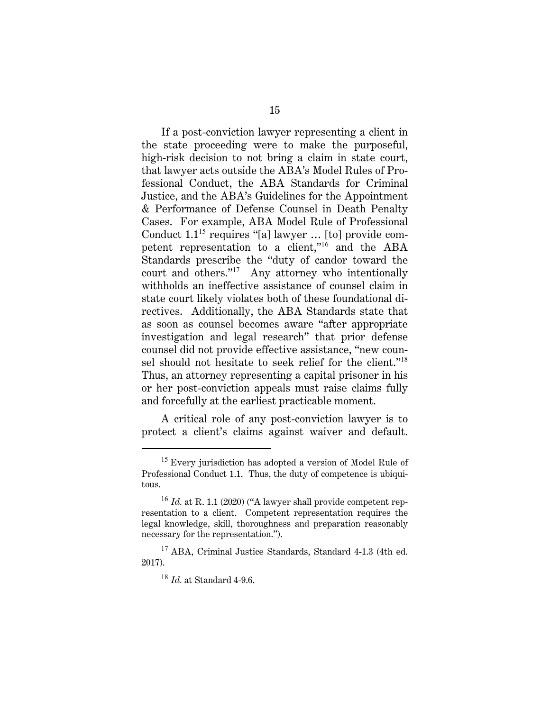If a post-conviction lawyer representing a client in the state proceeding were to make the purposeful, high-risk decision to not bring a claim in state court, that lawyer acts outside the ABA's Model Rules of Professional Conduct, the ABA Standards for Criminal Justice, and the ABA's Guidelines for the Appointment & Performance of Defense Counsel in Death Penalty Cases. For example, ABA Model Rule of Professional Conduct  $1.1^{15}$  requires "[a] lawyer ... [to] provide competent representation to a client,"<sup>16</sup> and the ABA Standards prescribe the "duty of candor toward the court and others."<sup>17</sup> Any attorney who intentionally withholds an ineffective assistance of counsel claim in state court likely violates both of these foundational directives. Additionally, the ABA Standards state that as soon as counsel becomes aware "after appropriate investigation and legal research" that prior defense counsel did not provide effective assistance, "new counsel should not hesitate to seek relief for the client."<sup>18</sup> Thus, an attorney representing a capital prisoner in his or her post-conviction appeals must raise claims fully and forcefully at the earliest practicable moment.

A critical role of any post-conviction lawyer is to protect a client's claims against waiver and default.

<sup>&</sup>lt;sup>15</sup> Every jurisdiction has adopted a version of Model Rule of Professional Conduct 1.1. Thus, the duty of competence is ubiquitous.

<sup>16</sup> *Id.* at R. 1.1 (2020) ("A lawyer shall provide competent representation to a client. Competent representation requires the legal knowledge, skill, thoroughness and preparation reasonably necessary for the representation.").

<sup>&</sup>lt;sup>17</sup> ABA, Criminal Justice Standards, Standard 4-1.3 (4th ed. 2017).

<sup>18</sup> *Id.* at Standard 4-9.6.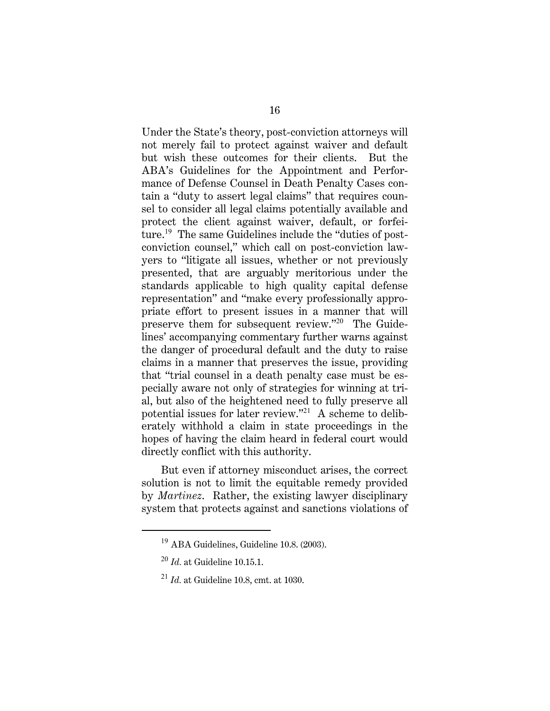Under the State's theory, post-conviction attorneys will not merely fail to protect against waiver and default but wish these outcomes for their clients. But the ABA's Guidelines for the Appointment and Performance of Defense Counsel in Death Penalty Cases contain a "duty to assert legal claims" that requires counsel to consider all legal claims potentially available and protect the client against waiver, default, or forfeiture.<sup>19</sup> The same Guidelines include the "duties of postconviction counsel," which call on post-conviction lawyers to "litigate all issues, whether or not previously presented, that are arguably meritorious under the standards applicable to high quality capital defense representation" and "make every professionally appropriate effort to present issues in a manner that will preserve them for subsequent review."<sup>20</sup> The Guidelines' accompanying commentary further warns against the danger of procedural default and the duty to raise claims in a manner that preserves the issue, providing that "trial counsel in a death penalty case must be especially aware not only of strategies for winning at trial, but also of the heightened need to fully preserve all potential issues for later review."<sup>21</sup> A scheme to deliberately withhold a claim in state proceedings in the hopes of having the claim heard in federal court would directly conflict with this authority.

But even if attorney misconduct arises, the correct solution is not to limit the equitable remedy provided by *Martinez*. Rather, the existing lawyer disciplinary system that protects against and sanctions violations of

<sup>19</sup> ABA Guidelines, Guideline 10.8. (2003).

<sup>20</sup> *Id.* at Guideline 10.15.1.

<sup>21</sup> *Id.* at Guideline 10.8, cmt. at 1030.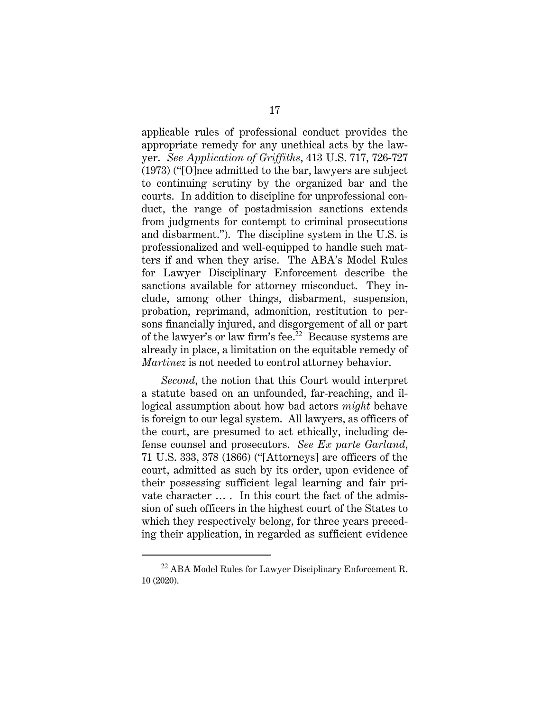applicable rules of professional conduct provides the appropriate remedy for any unethical acts by the lawyer. *See Application of Griffiths*, 413 U.S. 717, 726-727 (1973) ("[O]nce admitted to the bar, lawyers are subject to continuing scrutiny by the organized bar and the courts. In addition to discipline for unprofessional conduct, the range of postadmission sanctions extends from judgments for contempt to criminal prosecutions and disbarment."). The discipline system in the U.S. is professionalized and well-equipped to handle such matters if and when they arise. The ABA's Model Rules for Lawyer Disciplinary Enforcement describe the sanctions available for attorney misconduct. They include, among other things, disbarment, suspension, probation, reprimand, admonition, restitution to persons financially injured, and disgorgement of all or part of the lawyer's or law firm's fee.<sup>22</sup> Because systems are already in place, a limitation on the equitable remedy of *Martinez* is not needed to control attorney behavior.

*Second*, the notion that this Court would interpret a statute based on an unfounded, far-reaching, and illogical assumption about how bad actors *might* behave is foreign to our legal system. All lawyers, as officers of the court, are presumed to act ethically, including defense counsel and prosecutors. *See Ex parte Garland*, 71 U.S. 333, 378 (1866) ("[Attorneys] are officers of the court, admitted as such by its order, upon evidence of their possessing sufficient legal learning and fair private character … . In this court the fact of the admission of such officers in the highest court of the States to which they respectively belong, for three years preceding their application, in regarded as sufficient evidence

<sup>&</sup>lt;sup>22</sup> ABA Model Rules for Lawyer Disciplinary Enforcement R. 10 (2020).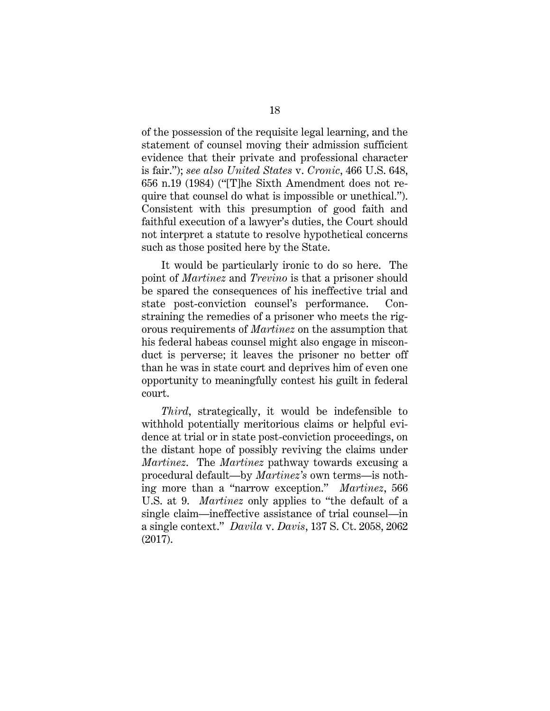of the possession of the requisite legal learning, and the statement of counsel moving their admission sufficient evidence that their private and professional character is fair."); *see also United States* v. *Cronic*, 466 U.S. 648, 656 n.19 (1984) ("[T]he Sixth Amendment does not require that counsel do what is impossible or unethical."). Consistent with this presumption of good faith and faithful execution of a lawyer's duties, the Court should not interpret a statute to resolve hypothetical concerns such as those posited here by the State.

It would be particularly ironic to do so here. The point of *Martinez* and *Trevino* is that a prisoner should be spared the consequences of his ineffective trial and state post-conviction counsel's performance. Constraining the remedies of a prisoner who meets the rigorous requirements of *Martinez* on the assumption that his federal habeas counsel might also engage in misconduct is perverse; it leaves the prisoner no better off than he was in state court and deprives him of even one opportunity to meaningfully contest his guilt in federal court.

*Third*, strategically, it would be indefensible to withhold potentially meritorious claims or helpful evidence at trial or in state post-conviction proceedings, on the distant hope of possibly reviving the claims under *Martinez*. The *Martinez* pathway towards excusing a procedural default—by *Martinez's* own terms—is nothing more than a "narrow exception." *Martinez*, 566 U.S. at 9. *Martinez* only applies to "the default of a single claim—ineffective assistance of trial counsel—in a single context." *Davila* v. *Davis*, 137 S. Ct. 2058, 2062 (2017).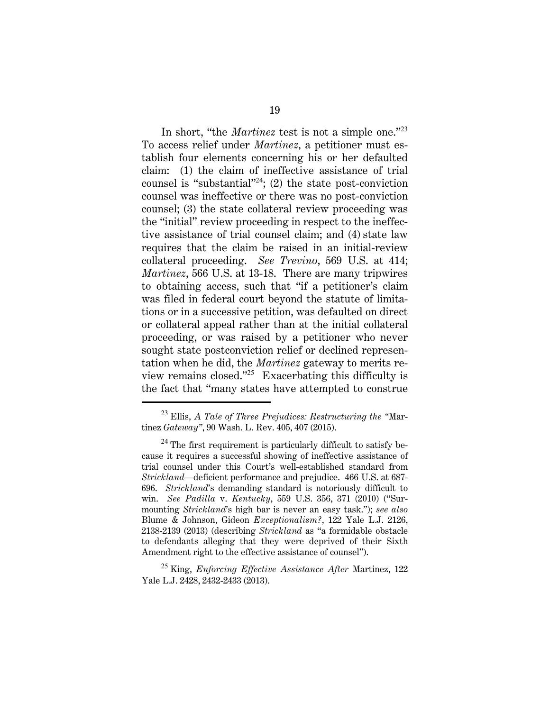In short, "the *Martinez* test is not a simple one."<sup>23</sup> To access relief under *Martinez*, a petitioner must establish four elements concerning his or her defaulted claim: (1) the claim of ineffective assistance of trial counsel is "substantial"<sup>24</sup>; (2) the state post-conviction counsel was ineffective or there was no post-conviction counsel; (3) the state collateral review proceeding was the "initial" review proceeding in respect to the ineffective assistance of trial counsel claim; and (4) state law requires that the claim be raised in an initial-review collateral proceeding. *See Trevino*, 569 U.S. at 414; *Martinez*, 566 U.S. at 13-18. There are many tripwires to obtaining access, such that "if a petitioner's claim was filed in federal court beyond the statute of limitations or in a successive petition, was defaulted on direct or collateral appeal rather than at the initial collateral proceeding, or was raised by a petitioner who never sought state postconviction relief or declined representation when he did, the *Martinez* gateway to merits review remains closed."<sup>25</sup> Exacerbating this difficulty is the fact that "many states have attempted to construe

<sup>23</sup> Ellis, *A Tale of Three Prejudices: Restructuring the "*Martinez *Gateway"*, 90 Wash. L. Rev. 405, 407 (2015).

 $^{24}$  The first requirement is particularly difficult to satisfy because it requires a successful showing of ineffective assistance of trial counsel under this Court's well-established standard from *Strickland*—deficient performance and prejudice. 466 U.S. at 687- 696. *Strickland*'s demanding standard is notoriously difficult to win. *See Padilla* v. *Kentucky*, 559 U.S. 356, 371 (2010) ("Surmounting *Strickland*'s high bar is never an easy task."); *see also* Blume & Johnson, Gideon *Exceptionalism?*, 122 Yale L.J. 2126, 2138-2139 (2013) (describing *Strickland* as "a formidable obstacle to defendants alleging that they were deprived of their Sixth Amendment right to the effective assistance of counsel").

<sup>25</sup> King, *Enforcing Effective Assistance After* Martinez, 122 Yale L.J. 2428, 2432-2433 (2013).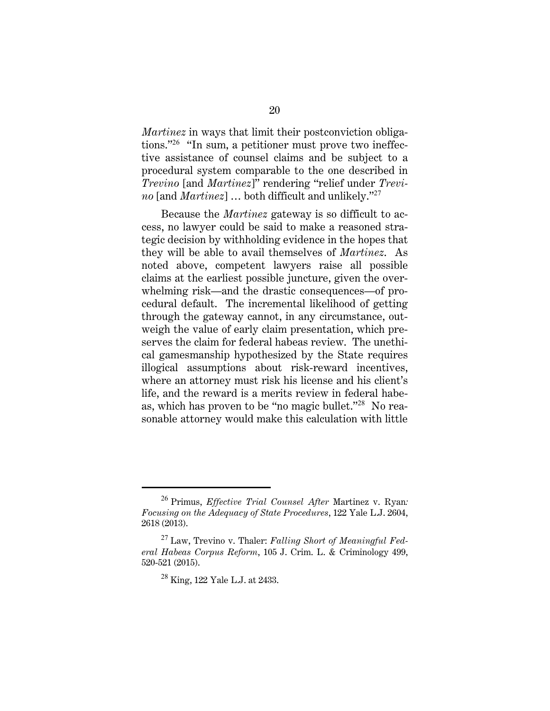*Martinez* in ways that limit their postconviction obligations."<sup>26</sup> "In sum, a petitioner must prove two ineffective assistance of counsel claims and be subject to a procedural system comparable to the one described in *Trevino* [and *Martinez*]" rendering "relief under *Trevino* [and *Martinez*] … both difficult and unlikely."<sup>27</sup>

Because the *Martinez* gateway is so difficult to access, no lawyer could be said to make a reasoned strategic decision by withholding evidence in the hopes that they will be able to avail themselves of *Martinez*. As noted above, competent lawyers raise all possible claims at the earliest possible juncture, given the overwhelming risk—and the drastic consequences—of procedural default. The incremental likelihood of getting through the gateway cannot, in any circumstance, outweigh the value of early claim presentation, which preserves the claim for federal habeas review. The unethical gamesmanship hypothesized by the State requires illogical assumptions about risk-reward incentives, where an attorney must risk his license and his client's life, and the reward is a merits review in federal habeas, which has proven to be "no magic bullet."<sup>28</sup> No reasonable attorney would make this calculation with little

<sup>26</sup> Primus, *Effective Trial Counsel After* Martinez v. Ryan*: Focusing on the Adequacy of State Procedures*, 122 Yale L.J. 2604, 2618 (2013).

<sup>27</sup> Law, Trevino v. Thaler: *Falling Short of Meaningful Federal Habeas Corpus Reform*, 105 J. Crim. L. & Criminology 499, 520-521 (2015).

 $28$  King, 122 Yale L.J. at 2433.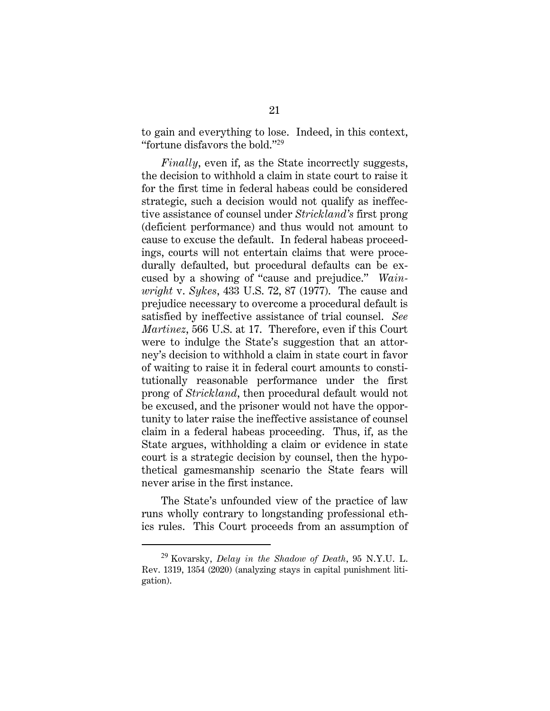to gain and everything to lose. Indeed, in this context, "fortune disfavors the bold."<sup>29</sup>

*Finally*, even if, as the State incorrectly suggests, the decision to withhold a claim in state court to raise it for the first time in federal habeas could be considered strategic, such a decision would not qualify as ineffective assistance of counsel under *Strickland's* first prong (deficient performance) and thus would not amount to cause to excuse the default. In federal habeas proceedings, courts will not entertain claims that were procedurally defaulted, but procedural defaults can be excused by a showing of "cause and prejudice." *Wainwright* v. *Sykes*, 433 U.S. 72, 87 (1977). The cause and prejudice necessary to overcome a procedural default is satisfied by ineffective assistance of trial counsel. *See Martinez*, 566 U.S. at 17. Therefore, even if this Court were to indulge the State's suggestion that an attorney's decision to withhold a claim in state court in favor of waiting to raise it in federal court amounts to constitutionally reasonable performance under the first prong of *Strickland*, then procedural default would not be excused, and the prisoner would not have the opportunity to later raise the ineffective assistance of counsel claim in a federal habeas proceeding. Thus, if, as the State argues, withholding a claim or evidence in state court is a strategic decision by counsel, then the hypothetical gamesmanship scenario the State fears will never arise in the first instance.

The State's unfounded view of the practice of law runs wholly contrary to longstanding professional ethics rules. This Court proceeds from an assumption of

<sup>29</sup> Kovarsky, *Delay in the Shadow of Death*, 95 N.Y.U. L. Rev. 1319, 1354 (2020) (analyzing stays in capital punishment litigation).